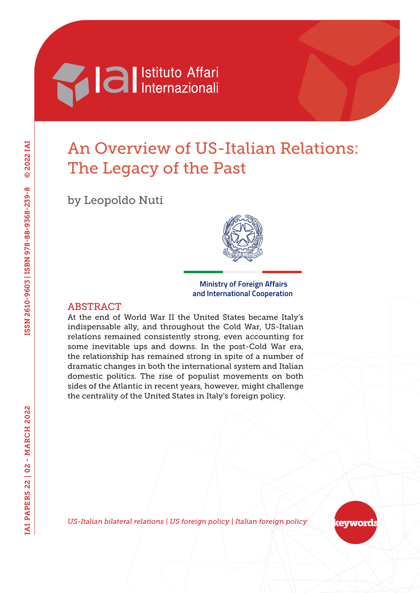

# An Overview of US-Italian Relations: The Legacy of the Past

by Leopoldo Nuti



#### **Ministry of Foreign Affairs and International Cooperation**

### ABSTRACT

At the end of World War II the United States became Italy's indispensable ally, and throughout the Cold War, US-Italian relations remained consistently strong, even accounting for some inevitable ups and downs. In the post-Cold War era, the relationship has remained strong in spite of a number of dramatic changes in both the international system and Italian domestic politics. The rise of populist movements on both sides of the Atlantic in recent years, however, might challenge the centrality of the United States in Italy's foreign policy.

*US-Italian bilateral relations | US foreign policy | Italian foreign policy*

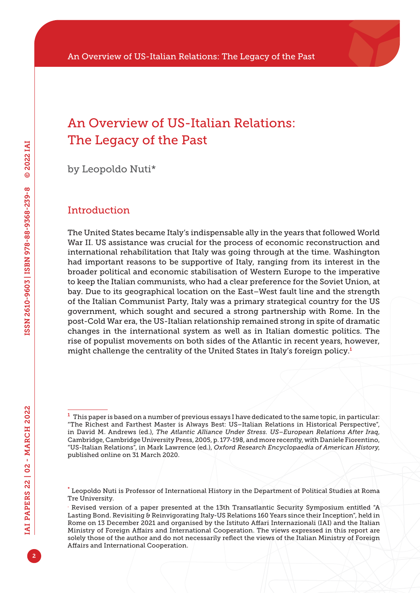## An Overview of US-Italian Relations: The Legacy of the Past

by Leopoldo Nuti\*

#### Introduction

The United States became Italy's indispensable ally in the years that followed World War II. US assistance was crucial for the process of economic reconstruction and international rehabilitation that Italy was going through at the time. Washington had important reasons to be supportive of Italy, ranging from its interest in the broader political and economic stabilisation of Western Europe to the imperative to keep the Italian communists, who had a clear preference for the Soviet Union, at bay. Due to its geographical location on the East–West fault line and the strength of the Italian Communist Party, Italy was a primary strategical country for the US government, which sought and secured a strong partnership with Rome. In the post-Cold War era, the US-Italian relationship remained strong in spite of dramatic changes in the international system as well as in Italian domestic politics. The rise of populist movements on both sides of the Atlantic in recent years, however, might challenge the centrality of the United States in Italy's foreign policy.<sup>1</sup>

 $^1$  This paper is based on a number of previous essays I have dedicated to the same topic, in particular: "The Richest and Farthest Master is Always Best: US–Italian Relations in Historical Perspective", in David M. Andrews (ed.), *The Atlantic Alliance Under Stress. US–European Relations After Iraq*, Cambridge, Cambridge University Press, 2005, p. 177-198, and more recently, with Daniele Fiorentino, "US-Italian Relations", in Mark Lawrence (ed.), *Oxford Research Encyclopaedia of American History*, published online on 31 March 2020.

<sup>\*</sup> Leopoldo Nuti is Professor of International History in the Department of Political Studies at Roma Tre University.

<sup>.</sup> Revised version of a paper presented at the 13th Transatlantic Security Symposium entitled "A Lasting Bond. Revisiting & Reinvigorating Italy-US Relations 160 Years since their Inception", held in Rome on 13 December 2021 and organised by the Istituto Affari Internazionali (IAI) and the Italian Ministry of Foreign Affairs and International Cooperation. The views expressed in this report are solely those of the author and do not necessarily reflect the views of the Italian Ministry of Foreign Affairs and International Cooperation.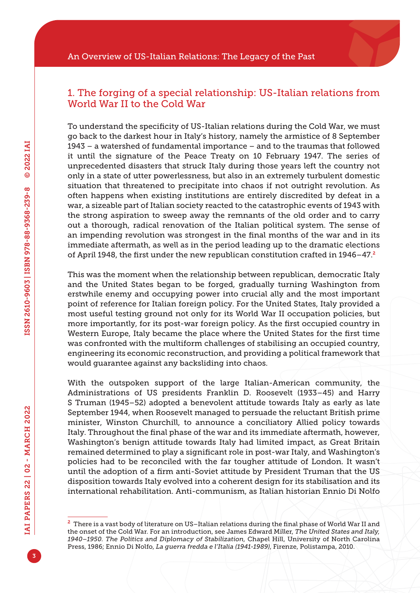### 1. The forging of a special relationship: US-Italian relations from World War II to the Cold War

To understand the specificity of US-Italian relations during the Cold War, we must go back to the darkest hour in Italy's history, namely the armistice of 8 September 1943 – a watershed of fundamental importance – and to the traumas that followed it until the signature of the Peace Treaty on 10 February 1947. The series of unprecedented disasters that struck Italy during those years left the country not only in a state of utter powerlessness, but also in an extremely turbulent domestic situation that threatened to precipitate into chaos if not outright revolution. As often happens when existing institutions are entirely discredited by defeat in a war, a sizeable part of Italian society reacted to the catastrophic events of 1943 with the strong aspiration to sweep away the remnants of the old order and to carry out a thorough, radical renovation of the Italian political system. The sense of an impending revolution was strongest in the final months of the war and in its immediate aftermath, as well as in the period leading up to the dramatic elections of April 1948, the first under the new republican constitution crafted in  $1946-47$ .<sup>2</sup>

This was the moment when the relationship between republican, democratic Italy and the United States began to be forged, gradually turning Washington from erstwhile enemy and occupying power into crucial ally and the most important point of reference for Italian foreign policy. For the United States, Italy provided a most useful testing ground not only for its World War II occupation policies, but more importantly, for its post-war foreign policy. As the first occupied country in Western Europe, Italy became the place where the United States for the first time was confronted with the multiform challenges of stabilising an occupied country, engineering its economic reconstruction, and providing a political framework that would guarantee against any backsliding into chaos.

With the outspoken support of the large Italian-American community, the Administrations of US presidents Franklin D. Roosevelt (1933–45) and Harry S Truman (1945–52) adopted a benevolent attitude towards Italy as early as late September 1944, when Roosevelt managed to persuade the reluctant British prime minister, Winston Churchill, to announce a conciliatory Allied policy towards Italy. Throughout the final phase of the war and its immediate aftermath, however, Washington's benign attitude towards Italy had limited impact, as Great Britain remained determined to play a significant role in post-war Italy, and Washington's policies had to be reconciled with the far tougher attitude of London. It wasn't until the adoption of a firm anti-Soviet attitude by President Truman that the US disposition towards Italy evolved into a coherent design for its stabilisation and its international rehabilitation. Anti-communism, as Italian historian Ennio Di Nolfo

<sup>2</sup> There is a vast body of literature on US–Italian relations during the final phase of World War II and the onset of the Cold War. For an introduction, see James Edward Miller, *The United States and Italy, 1940–1950. The Politics and Diplomacy of Stabilization*, Chapel Hill, University of North Carolina Press, 1986; Ennio Di Nolfo, *La guerra fredda e l'Italia (1941-1989)*, Firenze, Polistampa, 2010.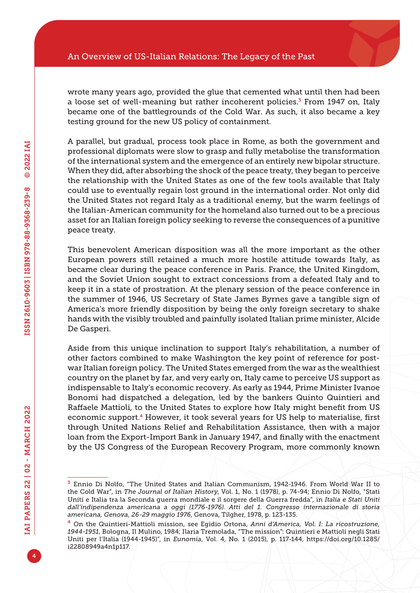wrote many years ago, provided the glue that cemented what until then had been a loose set of well-meaning but rather incoherent policies.<sup>3</sup> From 1947 on, Italy became one of the battlegrounds of the Cold War. As such, it also became a key testing ground for the new US policy of containment.

A parallel, but gradual, process took place in Rome, as both the government and professional diplomats were slow to grasp and fully metabolise the transformation of the international system and the emergence of an entirely new bipolar structure. When they did, after absorbing the shock of the peace treaty, they began to perceive the relationship with the United States as one of the few tools available that Italy could use to eventually regain lost ground in the international order. Not only did the United States not regard Italy as a traditional enemy, but the warm feelings of the Italian-American community for the homeland also turned out to be a precious asset for an Italian foreign policy seeking to reverse the consequences of a punitive peace treaty.

This benevolent American disposition was all the more important as the other European powers still retained a much more hostile attitude towards Italy, as became clear during the peace conference in Paris. France, the United Kingdom, and the Soviet Union sought to extract concessions from a defeated Italy and to keep it in a state of prostration. At the plenary session of the peace conference in the summer of 1946, US Secretary of State James Byrnes gave a tangible sign of America's more friendly disposition by being the only foreign secretary to shake hands with the visibly troubled and painfully isolated Italian prime minister, Alcide De Gasperi.

Aside from this unique inclination to support Italy's rehabilitation, a number of other factors combined to make Washington the key point of reference for postwar Italian foreign policy. The United States emerged from the war as the wealthiest country on the planet by far, and very early on, Italy came to perceive US support as indispensable to Italy's economic recovery. As early as 1944, Prime Minister Ivanoe Bonomi had dispatched a delegation, led by the bankers Quinto Quintieri and Raffaele Mattioli, to the United States to explore how Italy might benefit from US economic support.<sup>4</sup> However, it took several years for US help to materialise, first through United Nations Relief and Rehabilitation Assistance, then with a major loan from the Export-Import Bank in January 1947, and finally with the enactment by the US Congress of the European Recovery Program, more commonly known

<sup>3</sup> Ennio Di Nolfo, "The United States and Italian Communism, 1942-1946. From World War II to the Cold War", in *The Journal of Italian History*, Vol. 1, No. 1 (1978), p. 74-94; Ennio Di Nolfo, "Stati Uniti e Italia tra la Seconda guerra mondiale e il sorgere della Guerra fredda", in *Italia e Stati Uniti dall'indipendenza americana a oggi (1776-1976). Atti del 1. Congresso internazionale di storia americana, Genova, 26-29 maggio 1976*, Genova, Tilgher, 1978, p. 123-135.

<sup>4</sup> On the Quintieri-Mattioli mission, see Egidio Ortona, *Anni d'America, Vol. I: La ricostruzione, 1944-1951*, Bologna, Il Mulino, 1984; Ilaria Tremolada, "The mission": Quintieri e Mattioli negli Stati Uniti per l'Italia (1944-1945)", in *Eunomia*, Vol. 4, No. 1 (2015), p. 117-144, [https://doi.org/10.1285/](https://doi.org/10.1285/i22808949a4n1p117) [i22808949a4n1p117](https://doi.org/10.1285/i22808949a4n1p117).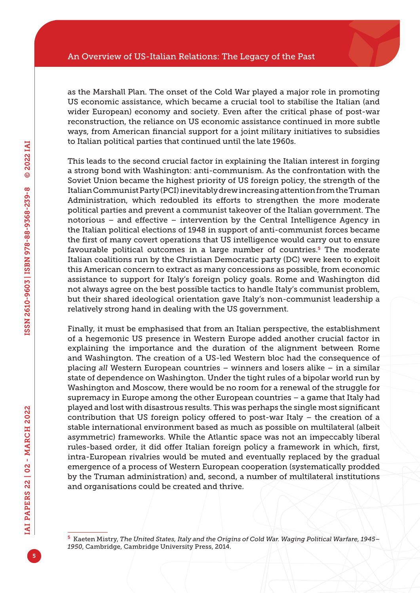as the Marshall Plan. The onset of the Cold War played a major role in promoting US economic assistance, which became a crucial tool to stabilise the Italian (and wider European) economy and society. Even after the critical phase of post-war reconstruction, the reliance on US economic assistance continued in more subtle ways, from American financial support for a joint military initiatives to subsidies to Italian political parties that continued until the late 1960s.

This leads to the second crucial factor in explaining the Italian interest in forging a strong bond with Washington: anti-communism. As the confrontation with the Soviet Union became the highest priority of US foreign policy, the strength of the Italian Communist Party (PCI) inevitably drew increasing attention from the Truman Administration, which redoubled its efforts to strengthen the more moderate political parties and prevent a communist takeover of the Italian government. The notorious – and effective – intervention by the Central Intelligence Agency in the Italian political elections of 1948 in support of anti-communist forces became the first of many covert operations that US intelligence would carry out to ensure favourable political outcomes in a large number of countries.<sup>5</sup> The moderate Italian coalitions run by the Christian Democratic party (DC) were keen to exploit this American concern to extract as many concessions as possible, from economic assistance to support for Italy's foreign policy goals. Rome and Washington did not always agree on the best possible tactics to handle Italy's communist problem, but their shared ideological orientation gave Italy's non-communist leadership a relatively strong hand in dealing with the US government.

Finally, it must be emphasised that from an Italian perspective, the establishment of a hegemonic US presence in Western Europe added another crucial factor in explaining the importance and the duration of the alignment between Rome and Washington. The creation of a US-led Western bloc had the consequence of placing *all* Western European countries – winners and losers alike – in a similar state of dependence on Washington. Under the tight rules of a bipolar world run by Washington and Moscow, there would be no room for a renewal of the struggle for supremacy in Europe among the other European countries – a game that Italy had played and lost with disastrous results. This was perhaps the single most significant contribution that US foreign policy offered to post-war Italy – the creation of a stable international environment based as much as possible on multilateral (albeit asymmetric) frameworks. While the Atlantic space was not an impeccably liberal rules-based order, it did offer Italian foreign policy a framework in which, first, intra-European rivalries would be muted and eventually replaced by the gradual emergence of a process of Western European cooperation (systematically prodded by the Truman administration) and, second, a number of multilateral institutions and organisations could be created and thrive.

<sup>5</sup> Kaeten Mistry, *The United States, Italy and the Origins of Cold War. Waging Political Warfare, 1945– 1950*, Cambridge, Cambridge University Press, 2014.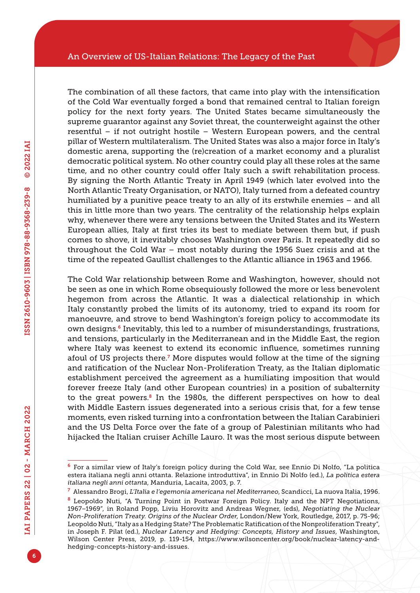The combination of all these factors, that came into play with the intensification of the Cold War eventually forged a bond that remained central to Italian foreign policy for the next forty years. The United States became simultaneously the supreme guarantor against any Soviet threat, the counterweight against the other resentful – if not outright hostile – Western European powers, and the central pillar of Western multilateralism. The United States was also a major force in Italy's domestic arena, supporting the (re)creation of a market economy and a pluralist democratic political system. No other country could play all these roles at the same time, and no other country could offer Italy such a swift rehabilitation process. By signing the North Atlantic Treaty in April 1949 (which later evolved into the North Atlantic Treaty Organisation, or NATO), Italy turned from a defeated country humiliated by a punitive peace treaty to an ally of its erstwhile enemies – and all this in little more than two years. The centrality of the relationship helps explain why, whenever there were any tensions between the United States and its Western European allies, Italy at first tries its best to mediate between them but, if push comes to shove, it inevitably chooses Washington over Paris. It repeatedly did so throughout the Cold War – most notably during the 1956 Suez crisis and at the time of the repeated Gaullist challenges to the Atlantic alliance in 1963 and 1966.

The Cold War relationship between Rome and Washington, however, should not be seen as one in which Rome obsequiously followed the more or less benevolent hegemon from across the Atlantic. It was a dialectical relationship in which Italy constantly probed the limits of its autonomy, tried to expand its room for manoeuvre, and strove to bend Washington's foreign policy to accommodate its own designs.6 Inevitably, this led to a number of misunderstandings, frustrations, and tensions, particularly in the Mediterranean and in the Middle East, the region where Italy was keenest to extend its economic influence, sometimes running afoul of US projects there.<sup>7</sup> More disputes would follow at the time of the signing and ratification of the Nuclear Non-Proliferation Treaty, as the Italian diplomatic establishment perceived the agreement as a humiliating imposition that would forever freeze Italy (and other European countries) in a position of subalternity to the great powers.<sup>8</sup> In the 1980s, the different perspectives on how to deal with Middle Eastern issues degenerated into a serious crisis that, for a few tense moments, even risked turning into a confrontation between the Italian Carabinieri and the US Delta Force over the fate of a group of Palestinian militants who had hijacked the Italian cruiser Achille Lauro. It was the most serious dispute between

<sup>6</sup> For a similar view of Italy's foreign policy during the Cold War, see Ennio Di Nolfo, "La politica estera italiana negli anni ottanta. Relazione introduttiva", in Ennio Di Nolfo (ed.), *La politica estera italiana negli anni ottanta*, Manduria, Lacaita, 2003, p. 7.

<sup>7</sup> Alessandro Brogi, *L'Italia e l'egemonia americana nel Mediterraneo*, Scandicci, La nuova Italia, 1996.

<sup>8</sup> Leopoldo Nuti, "A Turning Point in Postwar Foreign Policy. Italy and the NPT Negotiations, 1967–1969", in Roland Popp, Liviu Horovitz and Andreas Wegner, (eds), *Negotiating the Nuclear Non-Proliferation Treaty. Origins of the Nuclear Order*, London/New York, Routledge, 2017, p. 75-96; Leopoldo Nuti, "Italy as a Hedging State? The Problematic Ratification of the Nonproliferation Treaty", in Joseph F. Pilat (ed.), *Nuclear Latency and Hedging: Concepts, History and Issues*, Washington, Wilson Center Press, 2019, p. 119-154, [https://www.wilsoncenter.org/book/nuclear-latency-and](https://www.wilsoncenter.org/book/nuclear-latency-and-hedging-concepts-history-and-issues)[hedging-concepts-history-and-issues.](https://www.wilsoncenter.org/book/nuclear-latency-and-hedging-concepts-history-and-issues)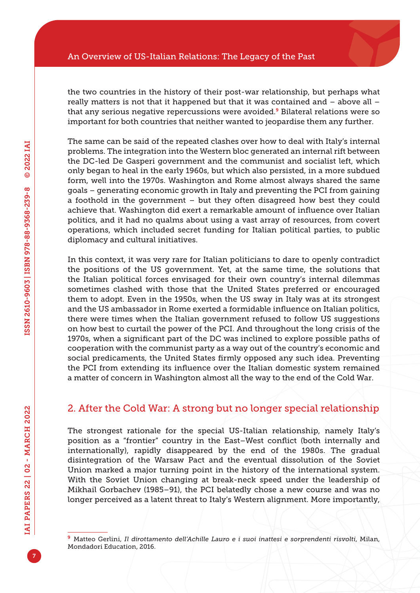the two countries in the history of their post-war relationship, but perhaps what really matters is not that it happened but that it was contained and – above all – that any serious negative repercussions were avoided.<sup>9</sup> Bilateral relations were so important for both countries that neither wanted to jeopardise them any further.

The same can be said of the repeated clashes over how to deal with Italy's internal problems. The integration into the Western bloc generated an internal rift between the DC-led De Gasperi government and the communist and socialist left, which only began to heal in the early 1960s, but which also persisted, in a more subdued form, well into the 1970s. Washington and Rome almost always shared the same goals – generating economic growth in Italy and preventing the PCI from gaining a foothold in the government – but they often disagreed how best they could achieve that. Washington did exert a remarkable amount of influence over Italian politics, and it had no qualms about using a vast array of resources, from covert operations, which included secret funding for Italian political parties, to public diplomacy and cultural initiatives.

In this context, it was very rare for Italian politicians to dare to openly contradict the positions of the US government. Yet, at the same time, the solutions that the Italian political forces envisaged for their own country's internal dilemmas sometimes clashed with those that the United States preferred or encouraged them to adopt. Even in the 1950s, when the US sway in Italy was at its strongest and the US ambassador in Rome exerted a formidable influence on Italian politics, there were times when the Italian government refused to follow US suggestions on how best to curtail the power of the PCI. And throughout the long crisis of the 1970s, when a significant part of the DC was inclined to explore possible paths of cooperation with the communist party as a way out of the country's economic and social predicaments, the United States firmly opposed any such idea. Preventing the PCI from extending its influence over the Italian domestic system remained a matter of concern in Washington almost all the way to the end of the Cold War.

### 2. After the Cold War: A strong but no longer special relationship

The strongest rationale for the special US-Italian relationship, namely Italy's position as a "frontier" country in the East–West conflict (both internally and internationally), rapidly disappeared by the end of the 1980s. The gradual disintegration of the Warsaw Pact and the eventual dissolution of the Soviet Union marked a major turning point in the history of the international system. With the Soviet Union changing at break-neck speed under the leadership of Mikhail Gorbachev (1985–91), the PCI belatedly chose a new course and was no longer perceived as a latent threat to Italy's Western alignment. More importantly,

<sup>9</sup> Matteo Gerlini, *Il dirottamento dell'Achille Lauro e i suoi inattesi e sorprendenti risvolti*, Milan, Mondadori Education, 2016.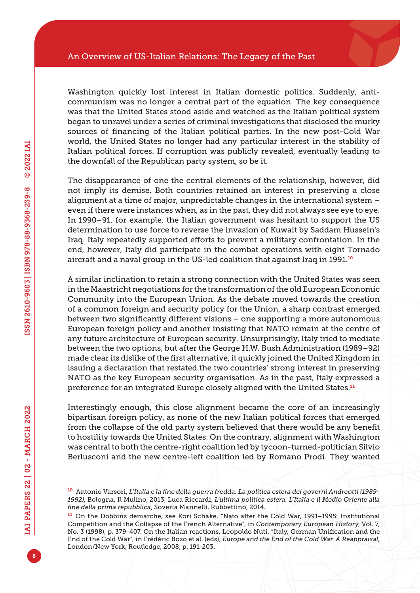Washington quickly lost interest in Italian domestic politics. Suddenly, anticommunism was no longer a central part of the equation. The key consequence was that the United States stood aside and watched as the Italian political system began to unravel under a series of criminal investigations that disclosed the murky sources of financing of the Italian political parties. In the new post-Cold War world, the United States no longer had any particular interest in the stability of Italian political forces. If corruption was publicly revealed, eventually leading to the downfall of the Republican party system, so be it.

The disappearance of one the central elements of the relationship, however, did not imply its demise. Both countries retained an interest in preserving a close alignment at a time of major, unpredictable changes in the international system – even if there were instances when, as in the past, they did not always see eye to eye. In 1990–91, for example, the Italian government was hesitant to support the US determination to use force to reverse the invasion of Kuwait by Saddam Hussein's Iraq. Italy repeatedly supported efforts to prevent a military confrontation. In the end, however, Italy did participate in the combat operations with eight Tornado aircraft and a naval group in the US-led coalition that against Iraq in 1991.<sup>10</sup>

A similar inclination to retain a strong connection with the United States was seen in the Maastricht negotiations for the transformation of the old European Economic Community into the European Union. As the debate moved towards the creation of a common foreign and security policy for the Union, a sharp contrast emerged between two significantly different visions – one supporting a more autonomous European foreign policy and another insisting that NATO remain at the centre of any future architecture of European security. Unsurprisingly, Italy tried to mediate between the two options, but after the George H.W. Bush Administration (1989–92) made clear its dislike of the first alternative, it quickly joined the United Kingdom in issuing a declaration that restated the two countries' strong interest in preserving NATO as the key European security organisation. As in the past, Italy expressed a preference for an integrated Europe closely aligned with the United States.<sup>11</sup>

Interestingly enough, this close alignment became the core of an increasingly bipartisan foreign policy, as none of the new Italian political forces that emerged from the collapse of the old party system believed that there would be any benefit to hostility towards the United States. On the contrary, alignment with Washington was central to both the centre-right coalition led by tycoon-turned-politician Silvio Berlusconi and the new centre-left coalition led by Romano Prodi. They wanted

<sup>10</sup> Antonio Varsori, *L'Italia e la fine della guerra fredda. La politica estera dei governi Andreotti (1989- 1992)*, Bologna, Il Mulino, 2013; Luca Riccardi, *L'ultima politica estera. L'Italia e il Medio Oriente alla fine della prima repubblica*, Soveria Mannelli, Rubbettino, 2014.

<sup>11</sup> On the Dobbins demarche, see Kori Schake, "Nato after the Cold War, 1991–1995: Institutional Competition and the Collapse of the French Alternative", in *Contemporary European History*, Vol. 7, No. 3 (1998), p. 379-407. On the Italian reactions, Leopoldo Nuti, "Italy, German Unification and the End of the Cold War", in Frédéric Bozo et al. (eds), *Europe and the End of the Cold War. A Reappraisal*, London/New York, Routledge, 2008, p. 191-203.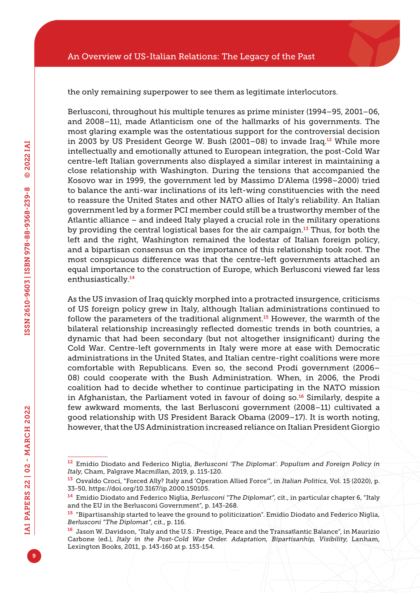the only remaining superpower to see them as legitimate interlocutors.

Berlusconi, throughout his multiple tenures as prime minister (1994–95, 2001–06, and 2008–11), made Atlanticism one of the hallmarks of his governments. The most glaring example was the ostentatious support for the controversial decision in 2003 by US President George W. Bush (2001–08) to invade Iraq.12 While more intellectually and emotionally attuned to European integration, the post-Cold War centre-left Italian governments also displayed a similar interest in maintaining a close relationship with Washington. During the tensions that accompanied the Kosovo war in 1999, the government led by Massimo D'Alema (1998–2000) tried to balance the anti-war inclinations of its left-wing constituencies with the need to reassure the United States and other NATO allies of Italy's reliability. An Italian government led by a former PCI member could still be a trustworthy member of the Atlantic alliance – and indeed Italy played a crucial role in the military operations by providing the central logistical bases for the air campaign.13 Thus, for both the left and the right, Washington remained the lodestar of Italian foreign policy, and a bipartisan consensus on the importance of this relationship took root. The most conspicuous difference was that the centre-left governments attached an equal importance to the construction of Europe, which Berlusconi viewed far less enthusiastically.<sup>14</sup>

As the US invasion of Iraq quickly morphed into a protracted insurgence, criticisms of US foreign policy grew in Italy, although Italian administrations continued to follow the parameters of the traditional alignment.<sup>15</sup> However, the warmth of the bilateral relationship increasingly reflected domestic trends in both countries, a dynamic that had been secondary (but not altogether insignificant) during the Cold War. Centre-left governments in Italy were more at ease with Democratic administrations in the United States, and Italian centre-right coalitions were more comfortable with Republicans. Even so, the second Prodi government (2006– 08) could cooperate with the Bush Administration. When, in 2006, the Prodi coalition had to decide whether to continue participating in the NATO mission in Afghanistan, the Parliament voted in favour of doing so.<sup>16</sup> Similarly, despite a few awkward moments, the last Berlusconi government (2008–11) cultivated a good relationship with US President Barack Obama (2009–17). It is worth noting, however, that the US Administration increased reliance on Italian President Giorgio

<sup>12</sup> Emidio Diodato and Federico Niglia, *Berlusconi 'The Diplomat'. Populism and Foreign Policy in Italy*, Cham, Palgrave Macmillan, 2019, p. 115-120.

<sup>13</sup> Osvaldo Croci, "Forced Ally? Italy and 'Operation Allied Force'", in *Italian Politics*, Vol. 15 (2020), p. 33-50, <https://doi.org/10.3167/ip.2000.150105>.

<sup>14</sup> Emidio Diodato and Federico Niglia, *Berlusconi "The Diplomat"*, cit., in particular chapter 6, "Italy and the EU in the Berlusconi Government", p. 143-268.

<sup>15</sup> "Bipartisanship started to leave the ground to politicization". Emidio Diodato and Federico Niglia, *Berlusconi "The Diplomat"*, cit., p. 116.

<sup>16</sup> Jason W. Davidson, "Italy and the U.S.: Prestige, Peace and the Transatlantic Balance", in Maurizio Carbone (ed.), *Italy in the Post-Cold War Order. Adaptation, Bipartisanhip, Visibility*, Lanham, Lexington Books, 2011, p. 143-160 at p. 153-154.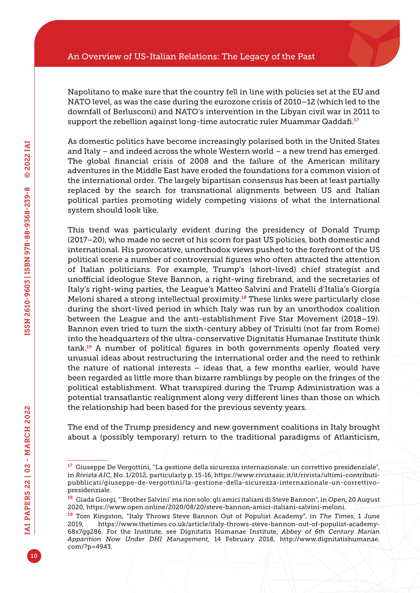Napolitano to make sure that the country fell in line with policies set at the EU and NATO level, as was the case during the eurozone crisis of 2010–12 (which led to the downfall of Berlusconi) and NATO's intervention in the Libyan civil war in 2011 to support the rebellion against long-time autocratic ruler Muammar Qaddafi.<sup>17</sup>

As domestic politics have become increasingly polarised both in the United States and Italy – and indeed across the whole Western world – a new trend has emerged. The global financial crisis of 2008 and the failure of the American military adventures in the Middle East have eroded the foundations for a common vision of the international order. The largely bipartisan consensus has been at least partially replaced by the search for transnational alignments between US and Italian political parties promoting widely competing visions of what the international system should look like.

This trend was particularly evident during the presidency of Donald Trump (2017–20), who made no secret of his scorn for past US policies, both domestic and international. His provocative, unorthodox views pushed to the forefront of the US political scene a number of controversial figures who often attracted the attention of Italian politicians. For example, Trump's (short-lived) chief strategist and unofficial ideologue Steve Bannon, a right-wing firebrand, and the secretaries of Italy's right-wing parties, the League's Matteo Salvini and Fratelli d'Italia's Giorgia Meloni shared a strong intellectual proximity.<sup>18</sup> These links were particularly close during the short-lived period in which Italy was run by an unorthodox coalition between the League and the anti-establishment Five Star Movement (2018–19). Bannon even tried to turn the sixth-century abbey of Trisulti (not far from Rome) into the headquarters of the ultra-conservative Dignitatis Humanae Institute think tank.<sup>19</sup> A number of political figures in both governments openly floated very unusual ideas about restructuring the international order and the need to rethink the nature of national interests – ideas that, a few months earlier, would have been regarded as little more than bizarre ramblings by people on the fringes of the political establishment. What transpired during the Trump Administration was a potential transatlantic realignment along very different lines than those on which the relationship had been based for the previous seventy years.

The end of the Trump presidency and new government coalitions in Italy brought about a (possibly temporary) return to the traditional paradigms of Atlanticism,

<sup>17</sup> Giuseppe De Vergottini, "La gestione della sicurezza internazionale: un correttivo presidenziale", in *Rivista AIC*, No. 1/2012, particularly p. 15-16, [https://www.rivistaaic.it/it/rivista/ultimi-contributi](https://www.rivistaaic.it/it/rivista/ultimi-contributi-pubblicati/giuseppe-de-vergottini/la-gestione-della-sicurezza-internazionale-un-correttivo-presidenziale)[pubblicati/giuseppe-de-vergottini/la-gestione-della-sicurezza-internazionale-un-correttivo](https://www.rivistaaic.it/it/rivista/ultimi-contributi-pubblicati/giuseppe-de-vergottini/la-gestione-della-sicurezza-internazionale-un-correttivo-presidenziale)[presidenziale.](https://www.rivistaaic.it/it/rivista/ultimi-contributi-pubblicati/giuseppe-de-vergottini/la-gestione-della-sicurezza-internazionale-un-correttivo-presidenziale)

<sup>18</sup> Giada Giorgi, "'Brother Salvini' ma non solo: gli amici italiani di Steve Bannon", in *Open*, 20 August 2020, [https://www.open.online/2020/08/20/steve-bannon-amici-italiani-salvini-meloni.](https://www.open.online/2020/08/20/steve-bannon-amici-italiani-salvini-meloni)

<sup>19</sup> Tom Kingston, "Italy Throws Steve Bannon Out of Populist Academy", in *The Times*, 1 June 2019, [https://www.thetimes.co.uk/article/italy-throws-steve-bannon-out-of-populist-academy-](https://www.thetimes.co.uk/article/italy-throws-steve-bannon-out-of-populist-academy-68x7gg286)[68x7gg286](https://www.thetimes.co.uk/article/italy-throws-steve-bannon-out-of-populist-academy-68x7gg286). For the Institute, see Dignitatis Humanae Institute, *Abbey of 6th Century Marian Apparition Now Under DHI Management*, 14 February 2018, [http://www.dignitatishumanae.](http://www.dignitatishumanae.com/?p=4943) [com/?p=4943.](http://www.dignitatishumanae.com/?p=4943)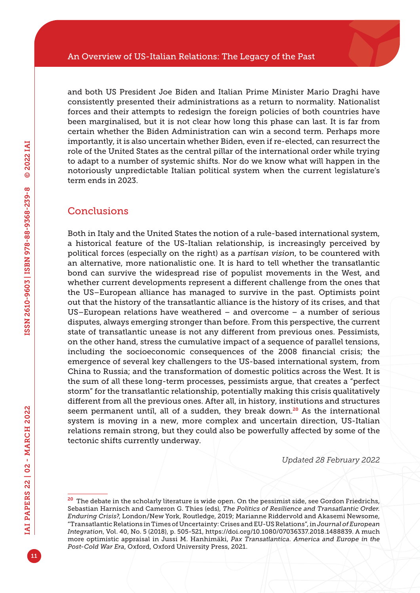and both US President Joe Biden and Italian Prime Minister Mario Draghi have consistently presented their administrations as a return to normality. Nationalist forces and their attempts to redesign the foreign policies of both countries have been marginalised, but it is not clear how long this phase can last. It is far from certain whether the Biden Administration can win a second term. Perhaps more importantly, it is also uncertain whether Biden, even if re-elected, can resurrect the role of the United States as the central pillar of the international order while trying to adapt to a number of systemic shifts. Nor do we know what will happen in the notoriously unpredictable Italian political system when the current legislature's term ends in 2023.

#### **Conclusions**

Both in Italy and the United States the notion of a rule-based international system, a historical feature of the US-Italian relationship, is increasingly perceived by political forces (especially on the right) as a *partisan vision*, to be countered with an alternative, more nationalistic one. It is hard to tell whether the transatlantic bond can survive the widespread rise of populist movements in the West, and whether current developments represent a different challenge from the ones that the US–European alliance has managed to survive in the past. Optimists point out that the history of the transatlantic alliance is the history of its crises, and that US–European relations have weathered – and overcome – a number of serious disputes, always emerging stronger than before. From this perspective, the current state of transatlantic unease is not any different from previous ones. Pessimists, on the other hand, stress the cumulative impact of a sequence of parallel tensions, including the socioeconomic consequences of the 2008 financial crisis; the emergence of several key challengers to the US-based international system, from China to Russia; and the transformation of domestic politics across the West. It is the sum of all these long-term processes, pessimists argue, that creates a "perfect storm" for the transatlantic relationship, potentially making this crisis qualitatively different from all the previous ones. After all, in history, institutions and structures seem permanent until, all of a sudden, they break down.<sup>20</sup> As the international system is moving in a new, more complex and uncertain direction, US-Italian relations remain strong, but they could also be powerfully affected by some of the tectonic shifts currently underway.

*Updated 28 February 2022*

<sup>&</sup>lt;sup>20</sup> The debate in the scholarly literature is wide open. On the pessimist side, see Gordon Friedrichs, Sebastian Harnisch and Cameron G. Thies (eds), *The Politics of Resilience and Transatlantic Order. Enduring Crisis?*, London/New York, Routledge, 2019; Marianne Riddervold and Akasemi Newsome, "Transatlantic Relations in Times of Uncertainty: Crises and EU-US Relations", in *Journal of European Integration*, Vol. 40, No. 5 (2018), p. 505-521,<https://doi.org/10.1080/07036337.2018.1488839>. A much more optimistic appraisal in Jussi M. Hanhimäki, *Pax Transatlantica. America and Europe in the Post-Cold War Era*, Oxford, Oxford University Press, 2021.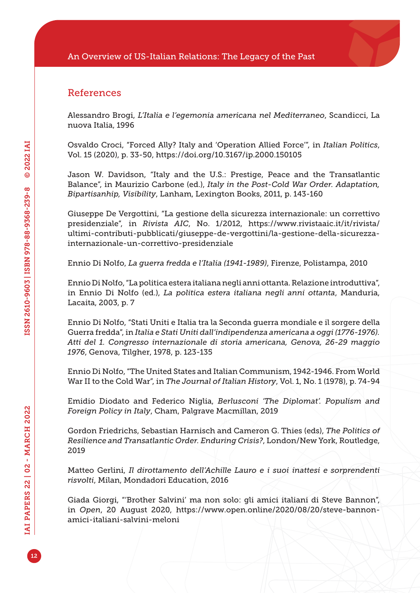#### References

Alessandro Brogi, *L'Italia e l'egemonia americana nel Mediterraneo*, Scandicci, La nuova Italia, 1996

Osvaldo Croci, "Forced Ally? Italy and 'Operation Allied Force'", in *Italian Politics*, Vol. 15 (2020), p. 33-50,<https://doi.org/10.3167/ip.2000.150105>

Jason W. Davidson, "Italy and the U.S.: Prestige, Peace and the Transatlantic Balance", in Maurizio Carbone (ed.), *Italy in the Post-Cold War Order. Adaptation, Bipartisanhip, Visibility*, Lanham, Lexington Books, 2011, p. 143-160

Giuseppe De Vergottini, "La gestione della sicurezza internazionale: un correttivo presidenziale", in *Rivista AIC*, No. 1/2012, [https://www.rivistaaic.it/it/rivista/](https://www.rivistaaic.it/it/rivista/ultimi-contributi-pubblicati/giuseppe-de-vergottini/la-gestione-della-sicurezza-internazionale-un-correttivo-presidenziale) [ultimi-contributi-pubblicati/giuseppe-de-vergottini/la-gestione-della-sicurezza](https://www.rivistaaic.it/it/rivista/ultimi-contributi-pubblicati/giuseppe-de-vergottini/la-gestione-della-sicurezza-internazionale-un-correttivo-presidenziale)[internazionale-un-correttivo-presidenziale](https://www.rivistaaic.it/it/rivista/ultimi-contributi-pubblicati/giuseppe-de-vergottini/la-gestione-della-sicurezza-internazionale-un-correttivo-presidenziale)

Ennio Di Nolfo, *La guerra fredda e l'Italia (1941-1989)*, Firenze, Polistampa, 2010

Ennio Di Nolfo, "La politica estera italiana negli anni ottanta. Relazione introduttiva", in Ennio Di Nolfo (ed.), *La politica estera italiana negli anni ottanta*, Manduria, Lacaita, 2003, p. 7

Ennio Di Nolfo, "Stati Uniti e Italia tra la Seconda guerra mondiale e il sorgere della Guerra fredda", in *Italia e Stati Uniti dall'indipendenza americana a oggi (1776-1976). Atti del 1. Congresso internazionale di storia americana, Genova, 26-29 maggio 1976*, Genova, Tilgher, 1978, p. 123-135

Ennio Di Nolfo, "The United States and Italian Communism, 1942-1946. From World War II to the Cold War", in *The Journal of Italian History*, Vol. 1, No. 1 (1978), p. 74-94

Emidio Diodato and Federico Niglia, *Berlusconi 'The Diplomat'. Populism and Foreign Policy in Italy*, Cham, Palgrave Macmillan, 2019

Gordon Friedrichs, Sebastian Harnisch and Cameron G. Thies (eds), *The Politics of Resilience and Transatlantic Order. Enduring Crisis?*, London/New York, Routledge, 2019

Matteo Gerlini, *Il dirottamento dell'Achille Lauro e i suoi inattesi e sorprendenti risvolti*, Milan, Mondadori Education, 2016

Giada Giorgi, "'Brother Salvini' ma non solo: gli amici italiani di Steve Bannon", in *Open*, 20 August 2020, [https://www.open.online/2020/08/20/steve-bannon](https://www.open.online/2020/08/20/steve-bannon-amici-italiani-salvini-meloni)[amici-italiani-salvini-meloni](https://www.open.online/2020/08/20/steve-bannon-amici-italiani-salvini-meloni)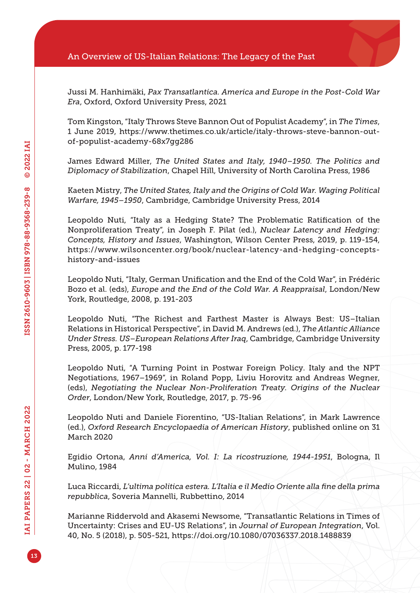Jussi M. Hanhimäki, *Pax Transatlantica. America and Europe in the Post-Cold War Era*, Oxford, Oxford University Press, 2021

Tom Kingston, "Italy Throws Steve Bannon Out of Populist Academy", in *The Times*, 1 June 2019, [https://www.thetimes.co.uk/article/italy-throws-steve-bannon-out](https://www.thetimes.co.uk/article/italy-throws-steve-bannon-out-of-populist-academy-68x7gg286)[of-populist-academy-68x7gg286](https://www.thetimes.co.uk/article/italy-throws-steve-bannon-out-of-populist-academy-68x7gg286)

James Edward Miller, *The United States and Italy, 1940–1950. The Politics and Diplomacy of Stabilization*, Chapel Hill, University of North Carolina Press, 1986

Kaeten Mistry, *The United States, Italy and the Origins of Cold War. Waging Political Warfare, 1945–1950*, Cambridge, Cambridge University Press, 2014

Leopoldo Nuti, "Italy as a Hedging State? The Problematic Ratification of the Nonproliferation Treaty", in Joseph F. Pilat (ed.), *Nuclear Latency and Hedging: Concepts, History and Issues*, Washington, Wilson Center Press, 2019, p. 119-154, [https://www.wilsoncenter.org/book/nuclear-latency-and-hedging-concepts](https://www.wilsoncenter.org/book/nuclear-latency-and-hedging-concepts-history-and-issues)[history-and-issues](https://www.wilsoncenter.org/book/nuclear-latency-and-hedging-concepts-history-and-issues)

Leopoldo Nuti, "Italy, German Unification and the End of the Cold War", in Frédéric Bozo et al. (eds), *Europe and the End of the Cold War. A Reappraisal*, London/New York, Routledge, 2008, p. 191-203

Leopoldo Nuti, "The Richest and Farthest Master is Always Best: US–Italian Relations in Historical Perspective", in David M. Andrews (ed.), *The Atlantic Alliance Under Stress. US–European Relations After Iraq*, Cambridge, Cambridge University Press, 2005, p. 177-198

Leopoldo Nuti, "A Turning Point in Postwar Foreign Policy. Italy and the NPT Negotiations, 1967–1969", in Roland Popp, Liviu Horovitz and Andreas Wegner, (eds), *Negotiating the Nuclear Non-Proliferation Treaty. Origins of the Nuclear Order*, London/New York, Routledge, 2017, p. 75-96

Leopoldo Nuti and Daniele Fiorentino, "US-Italian Relations", in Mark Lawrence (ed.), *Oxford Research Encyclopaedia of American History*, published online on 31 March 2020

Egidio Ortona, *Anni d'America, Vol. I: La ricostruzione, 1944-1951*, Bologna, Il Mulino, 1984

Luca Riccardi, *L'ultima politica estera. L'Italia e il Medio Oriente alla fine della prima repubblica*, Soveria Mannelli, Rubbettino, 2014

Marianne Riddervold and Akasemi Newsome, "Transatlantic Relations in Times of Uncertainty: Crises and EU-US Relations", in *Journal of European Integration*, Vol. 40, No. 5 (2018), p. 505-521, <https://doi.org/10.1080/07036337.2018.1488839>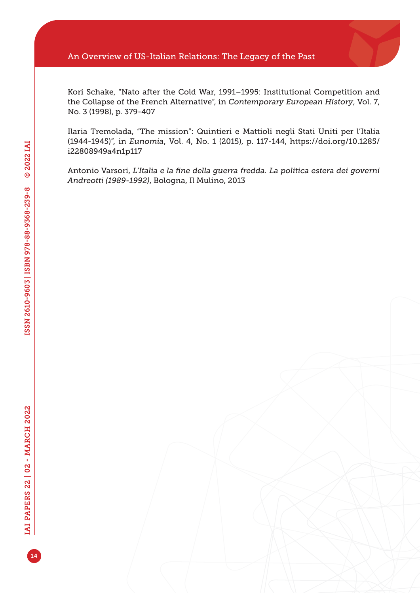#### An Overview of US-Italian Relations: The Legacy of the Past

Kori Schake, "Nato after the Cold War, 1991–1995: Institutional Competition and the Collapse of the French Alternative", in *Contemporary European History*, Vol. 7, No. 3 (1998), p. 379-407

Ilaria Tremolada, "The mission": Quintieri e Mattioli negli Stati Uniti per l'Italia (1944-1945)", in *Eunomia*, Vol. 4, No. 1 (2015), p. 117-144, [https://doi.org/10.1285/](https://doi.org/10.1285/i22808949a4n1p117) [i22808949a4n1p117](https://doi.org/10.1285/i22808949a4n1p117)

Antonio Varsori, *L'Italia e la fine della guerra fredda. La politica estera dei governi Andreotti (1989-1992)*, Bologna, Il Mulino, 2013